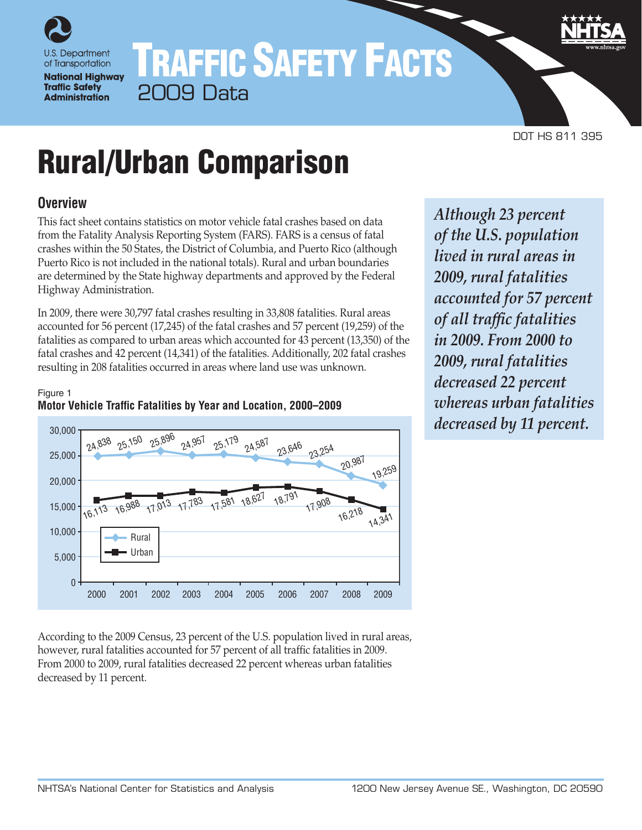

# TRAFFIC SAFETY FACTS 2009 Data

DOT HS 811 395

# Rural/Urban Comparison

# **Overview**

This fact sheet contains statistics on motor vehicle fatal crashes based on data from the Fatality Analysis Reporting System (FARS). FARS is a census of fatal crashes within the 50 States, the District of Columbia, and Puerto Rico (although Puerto Rico is not included in the national totals). Rural and urban boundaries are determined by the State highway departments and approved by the Federal Highway Administration.

In 2009, there were 30,797 fatal crashes resulting in 33,808 fatalities. Rural areas accounted for 56 percent (17,245) of the fatal crashes and 57 percent (19,259) of the fatalities as compared to urban areas which accounted for 43 percent (13,350) of the fatal crashes and 42 percent (14,341) of the fatalities. Additionally, 202 fatal crashes resulting in 208 fatalities occurred in areas where land use was unknown.





According to the 2009 Census, 23 percent of the U.S. population lived in rural areas, however, rural fatalities accounted for 57 percent of all traffic fatalities in 2009. From 2000 to 2009, rural fatalities decreased 22 percent whereas urban fatalities decreased by 11 percent.

*Although 23 percent of the U.S. population lived in rural areas in 2009, rural fatalities accounted for 57 percent of all traffic fatalities in 2009. From 2000 to 2009, rural fatalities decreased 22 percent whereas urban fatalities decreased by 11 percent.*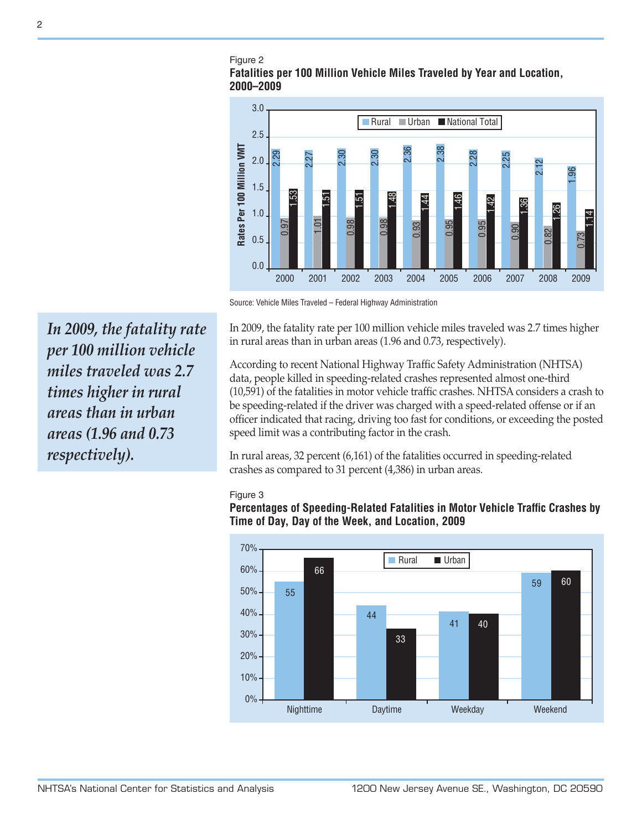#### Figure 2 **Fatalities per 100 Million Vehicle Miles Traveled by Year and Location, 2000–2009**



Source: Vehicle Miles Traveled – Federal Highway Administration

In 2009, the fatality rate per 100 million vehicle miles traveled was 2.7 times higher in rural areas than in urban areas (1.96 and 0.73, respectively).

According to recent National Highway Traffic Safety Administration (NHTSA) data, people killed in speeding-related crashes represented almost one-third (10,591) of the fatalities in motor vehicle traffic crashes. NHTSA considers a crash to be speeding-related if the driver was charged with a speed-related offense or if an officer indicated that racing, driving too fast for conditions, or exceeding the posted speed limit was a contributing factor in the crash.

In rural areas, 32 percent (6,161) of the fatalities occurred in speeding-related crashes as compared to 31 percent (4,386) in urban areas.

#### Figure 3

**Percentages of Speeding-Related Fatalities in Motor Vehicle Traffic Crashes by Time of Day, Day of the Week, and Location, 2009**



*In 2009, the fatality rate per 100 million vehicle miles traveled was 2.7 times higher in rural areas than in urban areas (1.96 and 0.73 respectively).*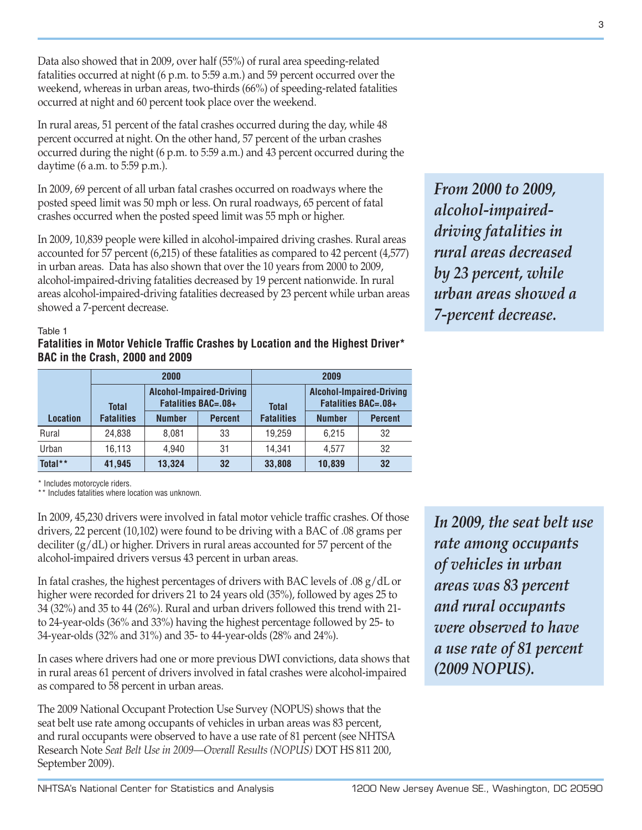Data also showed that in 2009, over half (55%) of rural area speeding-related fatalities occurred at night (6 p.m. to 5:59 a.m.) and 59 percent occurred over the weekend, whereas in urban areas, two-thirds (66%) of speeding-related fatalities occurred at night and 60 percent took place over the weekend.

In rural areas, 51 percent of the fatal crashes occurred during the day, while 48 percent occurred at night. On the other hand, 57 percent of the urban crashes occurred during the night (6 p.m. to 5:59 a.m.) and 43 percent occurred during the daytime (6 a.m. to 5:59 p.m.).

In 2009, 69 percent of all urban fatal crashes occurred on roadways where the posted speed limit was 50 mph or less. On rural roadways, 65 percent of fatal crashes occurred when the posted speed limit was 55 mph or higher.

In 2009, 10,839 people were killed in alcohol-impaired driving crashes. Rural areas accounted for 57 percent (6,215) of these fatalities as compared to 42 percent (4,577) in urban areas. Data has also shown that over the 10 years from 2000 to 2009, alcohol-impaired-driving fatalities decreased by 19 percent nationwide. In rural areas alcohol-impaired-driving fatalities decreased by 23 percent while urban areas showed a 7-percent decrease.

*alcohol-impaireddriving fatalities in rural areas decreased by 23 percent, while urban areas showed a 7-percent decrease.*

*From 2000 to 2009,* 

#### Table 1

#### **Fatalities in Motor Vehicle Traffic Crashes by Location and the Highest Driver\* BAC in the Crash, 2000 and 2009**

|                 |                   | 2000          |                                                               | 2009              |                                                               |                |  |
|-----------------|-------------------|---------------|---------------------------------------------------------------|-------------------|---------------------------------------------------------------|----------------|--|
|                 | <b>Total</b>      |               | <b>Alcohol-Impaired-Driving</b><br><b>Fatalities BAC=.08+</b> | <b>Total</b>      | <b>Alcohol-Impaired-Driving</b><br><b>Fatalities BAC=.08+</b> |                |  |
| <b>Location</b> | <b>Fatalities</b> | <b>Number</b> | <b>Percent</b>                                                | <b>Fatalities</b> | <b>Number</b>                                                 | <b>Percent</b> |  |
| Rural           | 24.838            | 8.081         | 33                                                            | 19.259            | 6.215                                                         | 32             |  |
| Urban           | 16,113            | 4.940         | 31                                                            | 14.341            | 4.577                                                         | 32             |  |
| Total**         | 41,945            | 13,324        | 32                                                            | 33,808            | 10,839                                                        | 32             |  |

\* Includes motorcycle riders.

\*\* Includes fatalities where location was unknown.

In 2009, 45,230 drivers were involved in fatal motor vehicle traffic crashes. Of those drivers, 22 percent (10,102) were found to be driving with a BAC of .08 grams per deciliter (g/dL) or higher. Drivers in rural areas accounted for 57 percent of the alcohol-impaired drivers versus 43 percent in urban areas.

In fatal crashes, the highest percentages of drivers with BAC levels of .08 g/dL or higher were recorded for drivers 21 to 24 years old (35%), followed by ages 25 to 34 (32%) and 35 to 44 (26%). Rural and urban drivers followed this trend with 21 to 24-year-olds (36% and 33%) having the highest percentage followed by 25- to 34-year-olds (32% and 31%) and 35- to 44-year-olds (28% and 24%).

In cases where drivers had one or more previous DWI convictions, data shows that in rural areas 61 percent of drivers involved in fatal crashes were alcohol-impaired as compared to 58 percent in urban areas.

The 2009 National Occupant Protection Use Survey (NOPUS) shows that the seat belt use rate among occupants of vehicles in urban areas was 83 percent, and rural occupants were observed to have a use rate of 81 percent (see NHTSA Research Note *Seat Belt Use in 2009—Overall Results (NOPUS)* DOT HS 811 200, September 2009).

*In 2009, the seat belt use rate among occupants of vehicles in urban areas was 83 percent and rural occupants were observed to have a use rate of 81 percent (2009 NOPUS).*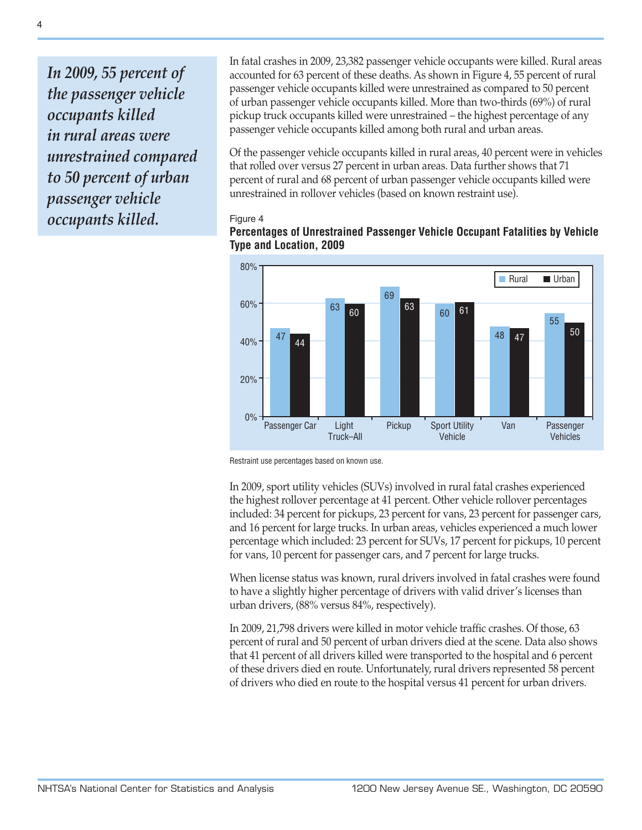*In 2009, 55 percent of the passenger vehicle occupants killed in rural areas were unrestrained compared to 50 percent of urban passenger vehicle occupants killed.*

In fatal crashes in 2009, 23,382 passenger vehicle occupants were killed. Rural areas accounted for 63 percent of these deaths. As shown in Figure 4, 55 percent of rural passenger vehicle occupants killed were unrestrained as compared to 50 percent of urban passenger vehicle occupants killed. More than two-thirds (69%) of rural pickup truck occupants killed were unrestrained – the highest percentage of any passenger vehicle occupants killed among both rural and urban areas.

Of the passenger vehicle occupants killed in rural areas, 40 percent were in vehicles that rolled over versus 27 percent in urban areas. Data further shows that 71 percent of rural and 68 percent of urban passenger vehicle occupants killed were unrestrained in rollover vehicles (based on known restraint use).

#### Figure 4



## **Percentages of Unrestrained Passenger Vehicle Occupant Fatalities by Vehicle Type and Location, 2009**

Restraint use percentages based on known use.

In 2009, sport utility vehicles (SUVs) involved in rural fatal crashes experienced the highest rollover percentage at 41 percent. Other vehicle rollover percentages included: 34 percent for pickups, 23 percent for vans, 23 percent for passenger cars, and 16 percent for large trucks. In urban areas, vehicles experienced a much lower percentage which included: 23 percent for SUVs, 17 percent for pickups, 10 percent for vans, 10 percent for passenger cars, and 7 percent for large trucks.

When license status was known, rural drivers involved in fatal crashes were found to have a slightly higher percentage of drivers with valid driver's licenses than urban drivers, (88% versus 84%, respectively).

In 2009, 21,798 drivers were killed in motor vehicle traffic crashes. Of those, 63 percent of rural and 50 percent of urban drivers died at the scene. Data also shows that 41 percent of all drivers killed were transported to the hospital and 6 percent of these drivers died en route. Unfortunately, rural drivers represented 58 percent of drivers who died en route to the hospital versus 41 percent for urban drivers.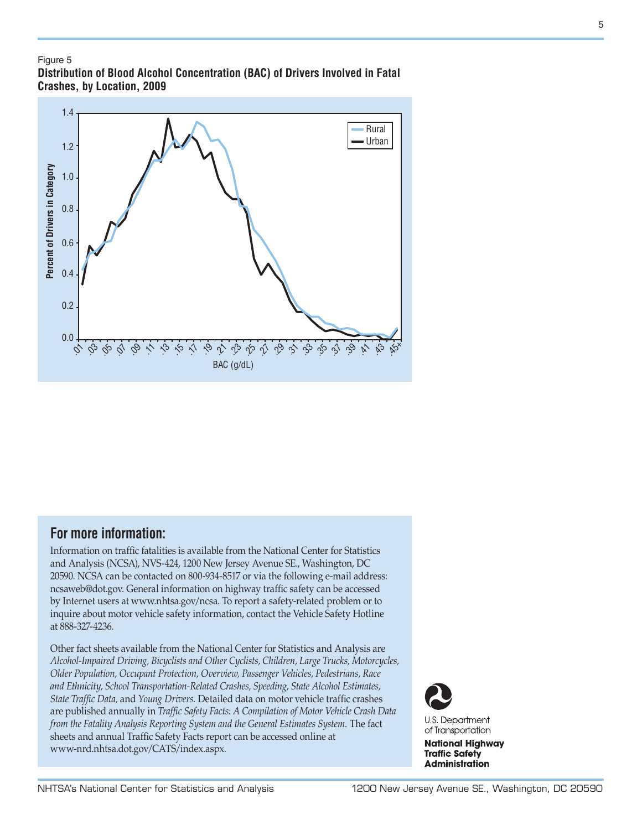#### Figure 5

**Distribution of Blood Alcohol Concentration (BAC) of Drivers Involved in Fatal Crashes, by Location, 2009**



# **For more information:**

Information on traffic fatalities is available from the National Center for Statistics and Analysis (NCSA), NVS-424, 1200 New Jersey Avenue SE., Washington, DC 20590. NCSA can be contacted on 800-934-8517 or via the following e-mail address: ncsaweb@dot.gov. General information on highway traffic safety can be accessed by Internet users at [www.nhtsa.gov/ncsa.](http://www.nhtsa.gov/portal/site/nhtsa/ncsa) To report a safety-related problem or to inquire about motor vehicle safety information, contact the Vehicle Safety Hotline at 888-327-4236.

Other fact sheets available from the National Center for Statistics and Analysis are *Alcohol-Impaired Driving, Bicyclists and Other Cyclists, Children, Large Trucks, Motorcycles, Older Population, Occupant Protection, Overview, Passenger Vehicles, Pedestrians, Race and Ethnicity, School Transportation-Related Crashes, Speeding, State Alcohol Estimates, State Traffic Data,* and *Young Drivers.* Detailed data on motor vehicle traffic crashes are published annually in *Traffic Safety Facts: A Compilation of Motor Vehicle Crash Data from the Fatality Analysis Reporting System and the General Estimates System.* The fact sheets and annual Traffic Safety Facts report can be accessed online at [www-nrd.nhtsa.dot.gov/CATS/index.aspx.](http://www-nrd.nhtsa.dot.gov/CATS/index.aspx)



**U.S. Department** of Transportation

**National Highway Traffic Safety Administration** 

5